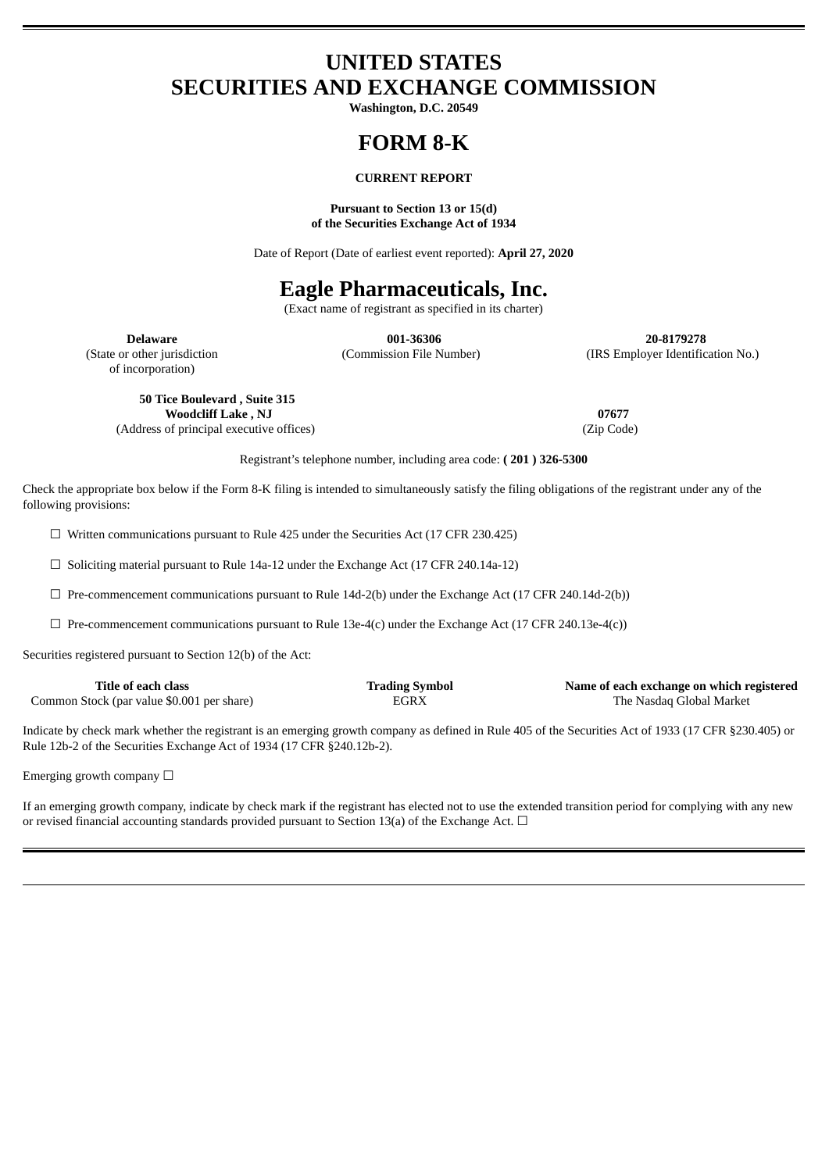# **UNITED STATES SECURITIES AND EXCHANGE COMMISSION**

**Washington, D.C. 20549**

# **FORM 8-K**

# **CURRENT REPORT**

#### **Pursuant to Section 13 or 15(d) of the Securities Exchange Act of 1934**

Date of Report (Date of earliest event reported): **April 27, 2020**

# **Eagle Pharmaceuticals, Inc.**

(Exact name of registrant as specified in its charter)

of incorporation)

**Delaware 001-36306 20-8179278** (State or other jurisdiction (Commission File Number) (IRS Employer Identification No.)

**50 Tice Boulevard , Suite 315 Woodcliff Lake , NJ 07677** (Address of principal executive offices) (Zip Code)

Registrant's telephone number, including area code: **( 201 ) 326-5300**

Check the appropriate box below if the Form 8-K filing is intended to simultaneously satisfy the filing obligations of the registrant under any of the following provisions:

 $\Box$  Written communications pursuant to Rule 425 under the Securities Act (17 CFR 230.425)

☐ Soliciting material pursuant to Rule 14a-12 under the Exchange Act (17 CFR 240.14a-12)

 $\Box$  Pre-commencement communications pursuant to Rule 14d-2(b) under the Exchange Act (17 CFR 240.14d-2(b))

 $\Box$  Pre-commencement communications pursuant to Rule 13e-4(c) under the Exchange Act (17 CFR 240.13e-4(c))

Securities registered pursuant to Section 12(b) of the Act:

| Title of each class                        | <b>Trading Symbol</b> | Name of each exchange on which registered |
|--------------------------------------------|-----------------------|-------------------------------------------|
| Common Stock (par value \$0.001 per share) | EGRX                  | The Nasdaq Global Market                  |

Indicate by check mark whether the registrant is an emerging growth company as defined in Rule 405 of the Securities Act of 1933 (17 CFR §230.405) or Rule 12b-2 of the Securities Exchange Act of 1934 (17 CFR §240.12b-2).

Emerging growth company  $\Box$ 

If an emerging growth company, indicate by check mark if the registrant has elected not to use the extended transition period for complying with any new or revised financial accounting standards provided pursuant to Section 13(a) of the Exchange Act.  $\Box$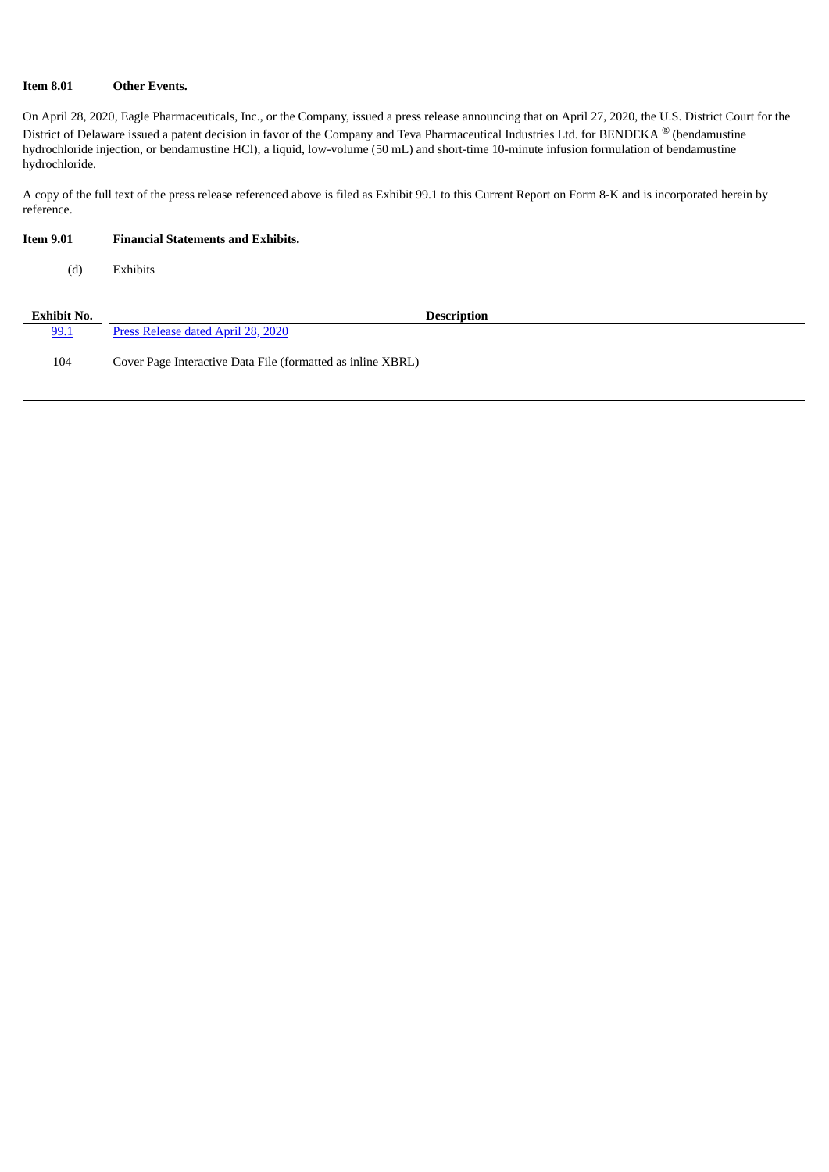## **Item 8.01 Other Events.**

On April 28, 2020, Eagle Pharmaceuticals, Inc., or the Company, issued a press release announcing that on April 27, 2020, the U.S. District Court for the District of Delaware issued a patent decision in favor of the Company and Teva Pharmaceutical Industries Ltd. for BENDEKA  $^\circledR$  (bendamustine hydrochloride injection, or bendamustine HCl), a liquid, low-volume (50 mL) and short-time 10-minute infusion formulation of bendamustine hydrochloride.

A copy of the full text of the press release referenced above is filed as Exhibit 99.1 to this Current Report on Form 8-K and is incorporated herein by reference.

| <b>Item 9.01</b>   | <b>Financial Statements and Exhibits.</b>                   |
|--------------------|-------------------------------------------------------------|
| (d)                | Exhibits                                                    |
| <b>Exhibit No.</b> | <b>Description</b>                                          |
| 99.1               | Press Release dated April 28, 2020                          |
| 104                | Cover Page Interactive Data File (formatted as inline XBRL) |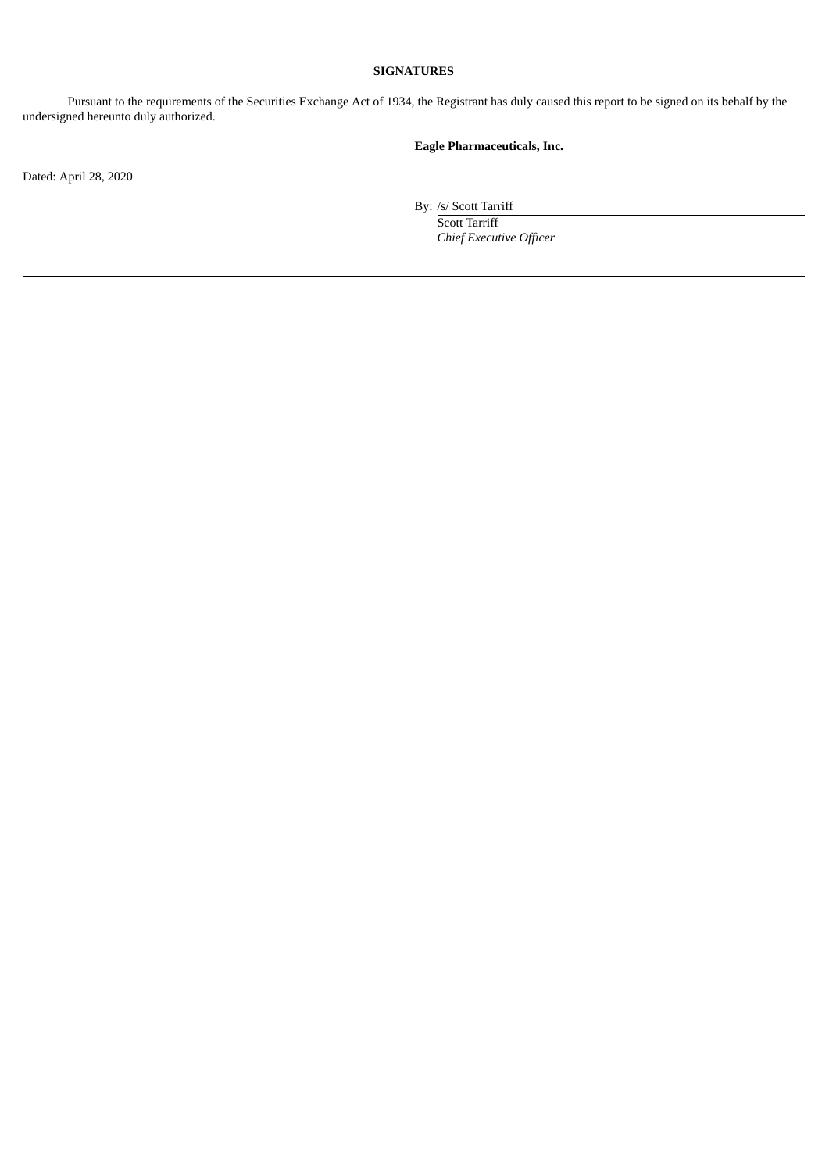## **SIGNATURES**

Pursuant to the requirements of the Securities Exchange Act of 1934, the Registrant has duly caused this report to be signed on its behalf by the undersigned hereunto duly authorized.

# **Eagle Pharmaceuticals, Inc.**

Dated: April 28, 2020

By: /s/ Scott Tarriff

Scott Tarriff *Chief Executive Officer*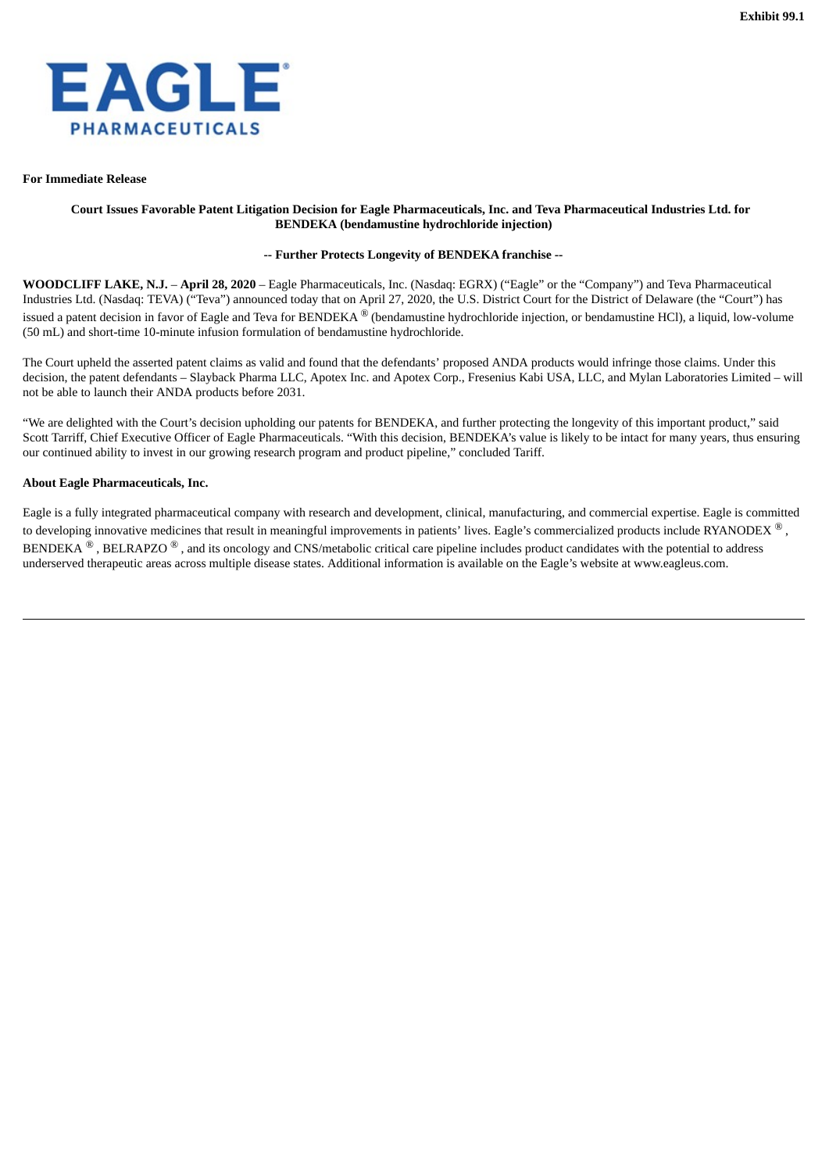<span id="page-3-0"></span>

#### **For Immediate Release**

### Court Issues Favorable Patent Litigation Decision for Eagle Pharmaceuticals, Inc. and Teva Pharmaceutical Industries Ltd. for **BENDEKA (bendamustine hydrochloride injection)**

## **-- Further Protects Longevity of BENDEKA franchise --**

**WOODCLIFF LAKE, N.J.** – **April 28, 2020** – Eagle Pharmaceuticals, Inc. (Nasdaq: EGRX) ("Eagle" or the "Company") and Teva Pharmaceutical Industries Ltd. (Nasdaq: TEVA) ("Teva") announced today that on April 27, 2020, the U.S. District Court for the District of Delaware (the "Court") has issued a patent decision in favor of Eagle and Teva for BENDEKA  $^\circledR$  (bendamustine hydrochloride injection, or bendamustine HCl), a liquid, low-volume (50 mL) and short-time 10-minute infusion formulation of bendamustine hydrochloride.

The Court upheld the asserted patent claims as valid and found that the defendants' proposed ANDA products would infringe those claims. Under this decision, the patent defendants – Slayback Pharma LLC, Apotex Inc. and Apotex Corp., Fresenius Kabi USA, LLC, and Mylan Laboratories Limited – will not be able to launch their ANDA products before 2031.

"We are delighted with the Court's decision upholding our patents for BENDEKA, and further protecting the longevity of this important product," said Scott Tarriff, Chief Executive Officer of Eagle Pharmaceuticals. "With this decision, BENDEKA's value is likely to be intact for many years, thus ensuring our continued ability to invest in our growing research program and product pipeline," concluded Tariff.

#### **About Eagle Pharmaceuticals, Inc.**

Eagle is a fully integrated pharmaceutical company with research and development, clinical, manufacturing, and commercial expertise. Eagle is committed to developing innovative medicines that result in meaningful improvements in patients' lives. Eagle's commercialized products include RYANODEX  $^\circledR$  , BENDEKA  $^{\circledR}$  , BELRAPZO  $^{\circledR}$  , and its oncology and CNS/metabolic critical care pipeline includes product candidates with the potential to address underserved therapeutic areas across multiple disease states. Additional information is available on the Eagle's website at www.eagleus.com.